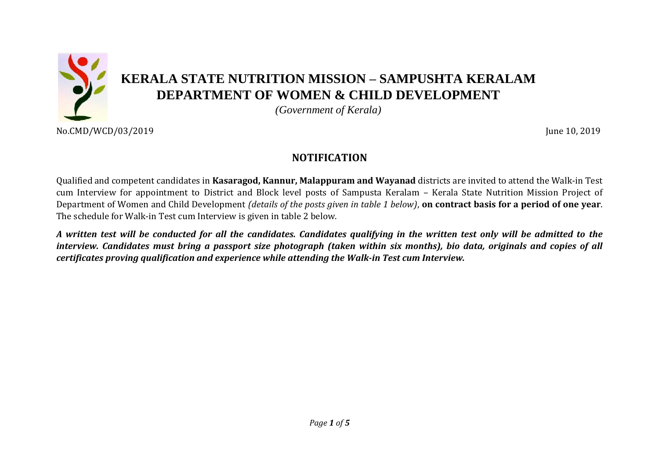

No.CMD/WCD/03/2019 June 10, 2019

# **NOTIFICATION**

Qualified and competent candidates in **Kasaragod, Kannur, Malappuram and Wayanad** districts are invited to attend the Walk-in Test cum Interview for appointment to District and Block level posts of Sampusta Keralam – Kerala State Nutrition Mission Project of Department of Women and Child Development *(details of the posts given in table 1 below)*, **on contract basis for a period of one year**. The schedule for Walk-in Test cum Interview is given in table 2 below.

*A written test will be conducted for all the candidates. Candidates qualifying in the written test only will be admitted to the interview. Candidates must bring a passport size photograph (taken within six months), bio data, originals and copies of all certificates proving qualification and experience while attending the Walk-in Test cum Interview.*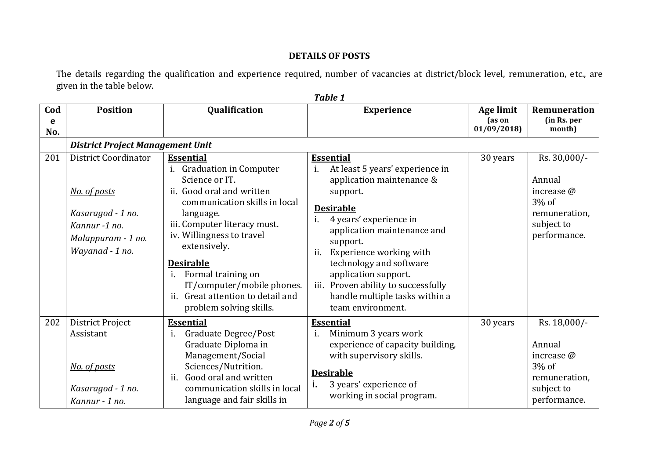## **DETAILS OF POSTS**

The details regarding the qualification and experience required, number of vacancies at district/block level, remuneration, etc., are given in the table below.

| Cod      | <b>Position</b>                                                                                                     | Qualification                                                                                                                                                                                                                                                                                                                                                                                  | <b>Experience</b>                                                                                                                                                                                                                                                                                                                                                                                   | Age limit            | <b>Remuneration</b>                                                                             |
|----------|---------------------------------------------------------------------------------------------------------------------|------------------------------------------------------------------------------------------------------------------------------------------------------------------------------------------------------------------------------------------------------------------------------------------------------------------------------------------------------------------------------------------------|-----------------------------------------------------------------------------------------------------------------------------------------------------------------------------------------------------------------------------------------------------------------------------------------------------------------------------------------------------------------------------------------------------|----------------------|-------------------------------------------------------------------------------------------------|
| e<br>No. |                                                                                                                     |                                                                                                                                                                                                                                                                                                                                                                                                |                                                                                                                                                                                                                                                                                                                                                                                                     | (as on<br>01/09/2018 | (in Rs. per<br>month)                                                                           |
|          | <b>District Project Management Unit</b>                                                                             |                                                                                                                                                                                                                                                                                                                                                                                                |                                                                                                                                                                                                                                                                                                                                                                                                     |                      |                                                                                                 |
| 201      | District Coordinator<br>No. of posts<br>Kasaragod - 1 no.<br>Kannur -1 no.<br>Malappuram - 1 no.<br>Wayanad - 1 no. | <b>Essential</b><br>i.<br><b>Graduation in Computer</b><br>Science or IT.<br>ii. Good oral and written<br>communication skills in local<br>language.<br>iii. Computer literacy must.<br>iv. Willingness to travel<br>extensively.<br><b>Desirable</b><br>Formal training on<br>$\mathbf{1}$ .<br>IT/computer/mobile phones.<br>Great attention to detail and<br>11.<br>problem solving skills. | <b>Essential</b><br>$\mathbf{i}$ .<br>At least 5 years' experience in<br>application maintenance &<br>support.<br><b>Desirable</b><br>4 years' experience in<br>i.<br>application maintenance and<br>support.<br>Experience working with<br>ii.<br>technology and software<br>application support.<br>Proven ability to successfully<br>iii.<br>handle multiple tasks within a<br>team environment. | 30 years             | Rs. 30,000/-<br>Annual<br>increase @<br>3% of<br>remuneration,<br>subject to<br>performance.    |
| 202      | District Project<br>Assistant<br>No. of posts<br>Kasaragod - 1 no.<br>Kannur - 1 no.                                | <b>Essential</b><br>Graduate Degree/Post<br>$\mathbf{1}$ .<br>Graduate Diploma in<br>Management/Social<br>Sciences/Nutrition.<br>Good oral and written<br>ii.<br>communication skills in local<br>language and fair skills in                                                                                                                                                                  | <b>Essential</b><br>Minimum 3 years work<br>i.<br>experience of capacity building,<br>with supervisory skills.<br><b>Desirable</b><br>3 years' experience of<br>working in social program.                                                                                                                                                                                                          | 30 years             | Rs. 18,000/-<br>Annual<br>increase @<br>$3\%$ of<br>remuneration,<br>subject to<br>performance. |

*Table 1*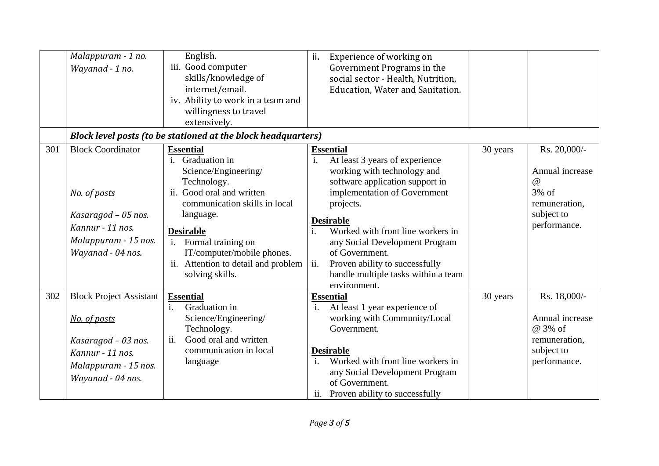|     | Malappuram - 1 no.<br>Wayanad - 1 no.                                                                                                  | English.<br>iii. Good computer<br>skills/knowledge of<br>internet/email.<br>iv. Ability to work in a team and<br>willingness to travel<br>extensively.                                                                            | ii.<br>Experience of working on<br>Government Programs in the<br>social sector - Health, Nutrition,<br>Education, Water and Sanitation.                                                                                                                                                 |          |                                                                                                        |  |
|-----|----------------------------------------------------------------------------------------------------------------------------------------|-----------------------------------------------------------------------------------------------------------------------------------------------------------------------------------------------------------------------------------|-----------------------------------------------------------------------------------------------------------------------------------------------------------------------------------------------------------------------------------------------------------------------------------------|----------|--------------------------------------------------------------------------------------------------------|--|
|     |                                                                                                                                        | Block level posts (to be stationed at the block headquarters)                                                                                                                                                                     |                                                                                                                                                                                                                                                                                         |          |                                                                                                        |  |
| 301 | <b>Block Coordinator</b><br>No. of posts<br>Kasaragod - 05 nos.<br>Kannur - 11 nos.<br>Malappuram - 15 nos.<br>Wayanad - 04 nos.       | <b>Essential</b><br>i. Graduation in<br>Science/Engineering/<br>Technology.<br>ii. Good oral and written<br>communication skills in local<br>language.<br><b>Desirable</b><br>i. Formal training on<br>IT/computer/mobile phones. | <b>Essential</b><br>i.<br>At least 3 years of experience<br>working with technology and<br>software application support in<br>implementation of Government<br>projects.<br><b>Desirable</b><br>Worked with front line workers in<br>any Social Development Program<br>of Government.    | 30 years | Rs. 20,000/-<br>Annual increase<br>$\omega$<br>$3\%$ of<br>remuneration,<br>subject to<br>performance. |  |
|     |                                                                                                                                        | ii. Attention to detail and problem<br>solving skills.                                                                                                                                                                            | ii.<br>Proven ability to successfully<br>handle multiple tasks within a team<br>environment.                                                                                                                                                                                            |          |                                                                                                        |  |
| 302 | <b>Block Project Assistant</b><br>No. of posts<br>Kasaragod - 03 nos.<br>Kannur - 11 nos.<br>Malappuram - 15 nos.<br>Wayanad - 04 nos. | <b>Essential</b><br>Graduation in<br>$\mathbf{i}$ .<br>Science/Engineering/<br>Technology.<br>ii.<br>Good oral and written<br>communication in local<br>language                                                                  | <b>Essential</b><br>At least 1 year experience of<br>$\mathbf{i}$ .<br>working with Community/Local<br>Government.<br><b>Desirable</b><br>$\mathbf{i}$ .<br>Worked with front line workers in<br>any Social Development Program<br>of Government.<br>ii. Proven ability to successfully | 30 years | Rs. 18,000/-<br>Annual increase<br>@ 3% of<br>remuneration,<br>subject to<br>performance.              |  |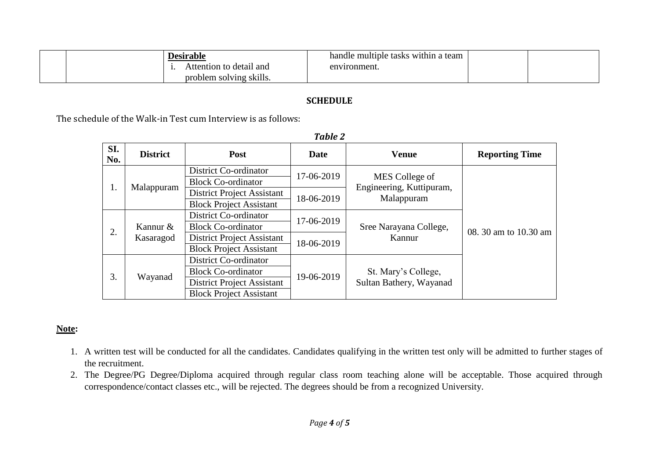| Desirable               | handle multiple tasks within a team |  |
|-------------------------|-------------------------------------|--|
| Attention to detail and | environment.                        |  |
| problem solving skills. |                                     |  |

#### **SCHEDULE**

The schedule of the Walk-in Test cum Interview is as follows:

| SI.<br>No. | <b>District</b>       | Post                              | Date       | <b>Venue</b>                                             | <b>Reporting Time</b> |
|------------|-----------------------|-----------------------------------|------------|----------------------------------------------------------|-----------------------|
| 1.         | Malappuram            | <b>District Co-ordinator</b>      | 17-06-2019 | MES College of<br>Engineering, Kuttipuram,<br>Malappuram | 08. 30 am to 10.30 am |
|            |                       | <b>Block Co-ordinator</b>         |            |                                                          |                       |
|            |                       | <b>District Project Assistant</b> | 18-06-2019 |                                                          |                       |
|            |                       | <b>Block Project Assistant</b>    |            |                                                          |                       |
| 2.         | Kannur &<br>Kasaragod | District Co-ordinator             | 17-06-2019 | Sree Narayana College,<br>Kannur                         |                       |
|            |                       | <b>Block Co-ordinator</b>         |            |                                                          |                       |
|            |                       | District Project Assistant        | 18-06-2019 |                                                          |                       |
|            |                       | <b>Block Project Assistant</b>    |            |                                                          |                       |
| 3.         | Wayanad               | <b>District Co-ordinator</b>      | 19-06-2019 | St. Mary's College,<br>Sultan Bathery, Wayanad           |                       |
|            |                       | <b>Block Co-ordinator</b>         |            |                                                          |                       |
|            |                       | <b>District Project Assistant</b> |            |                                                          |                       |
|            |                       | <b>Block Project Assistant</b>    |            |                                                          |                       |

#### *Table 2*

### **Note:**

- 1. A written test will be conducted for all the candidates. Candidates qualifying in the written test only will be admitted to further stages of the recruitment.
- 2. The Degree/PG Degree/Diploma acquired through regular class room teaching alone will be acceptable. Those acquired through correspondence/contact classes etc., will be rejected. The degrees should be from a recognized University.